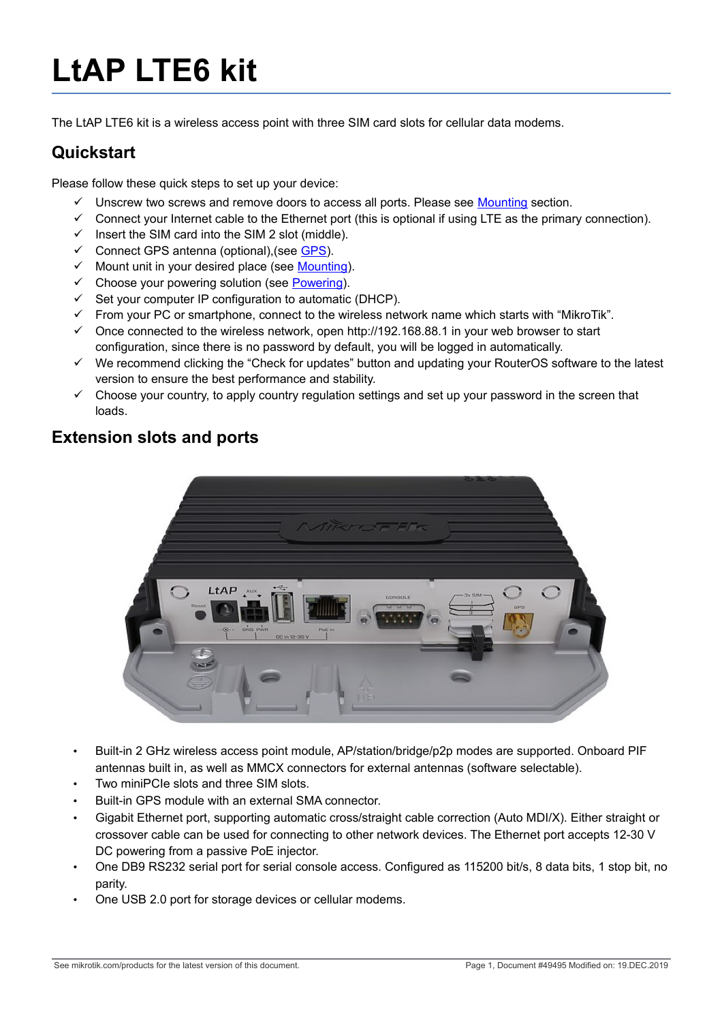# **LtAP LTE6 kit**

The LtAP LTE6 kit is a wireless access point with three SIM card slots for cellular data modems.

## **Quickstart**

Please follow these quick steps to set up your device:

- $\checkmark$  Unscrew two screws and remove doors to access all ports. Please see [Mounting](#page-1-0) section.
- $\checkmark$  Connect your Internet cable to the Ethernet port (this is optional if using LTE as the primary connection).
- $\checkmark$  Insert the SIM card into the SIM 2 slot (middle).
- $\checkmark$  Connect GPS antenna (optional), (see [GPS\)](#page-2-1).
- $\checkmark$  Mount unit in your desired place (see [Mounting\)](#page-1-0).
- $\checkmark$  Choose your powering solution (see [Powering\)](#page-2-0).
- $\checkmark$  Set your computer IP configuration to automatic (DHCP).
- $\checkmark$  From your PC or smartphone, connect to the wireless network name which starts with "MikroTik".
- $\checkmark$  Once connected to the wireless network, open http://192.168.88.1 in your web browser to start configuration, since there is no password by default, you will be logged in automatically.
- $\checkmark$  We recommend clicking the "Check for updates" button and updating your RouterOS software to the latest version to ensure the best performance and stability.
- $\checkmark$  Choose your country, to apply country regulation settings and set up your password in the screen that loads.

## **Extension slots and ports**



- Built-in 2 GHz wireless access point module, AP/station/bridge/p2p modes are supported. Onboard PIF antennas built in, as well as MMCX connectors for external antennas (software selectable).
- Two miniPCIe slots and three SIM slots.
- Built-in GPS module with an external SMA connector.
- Gigabit Ethernet port, supporting automatic cross/straight cable correction (Auto MDI/X). Either straight or crossover cable can be used for connecting to other network devices. The Ethernet port accepts 12-30 V DC powering from a passive PoE injector.
- One DB9 RS232 serial port for serial console access. Configured as 115200 bit/s, 8 data bits, 1 stop bit, no parity.
- One USB 2.0 port for storage devices or cellular modems.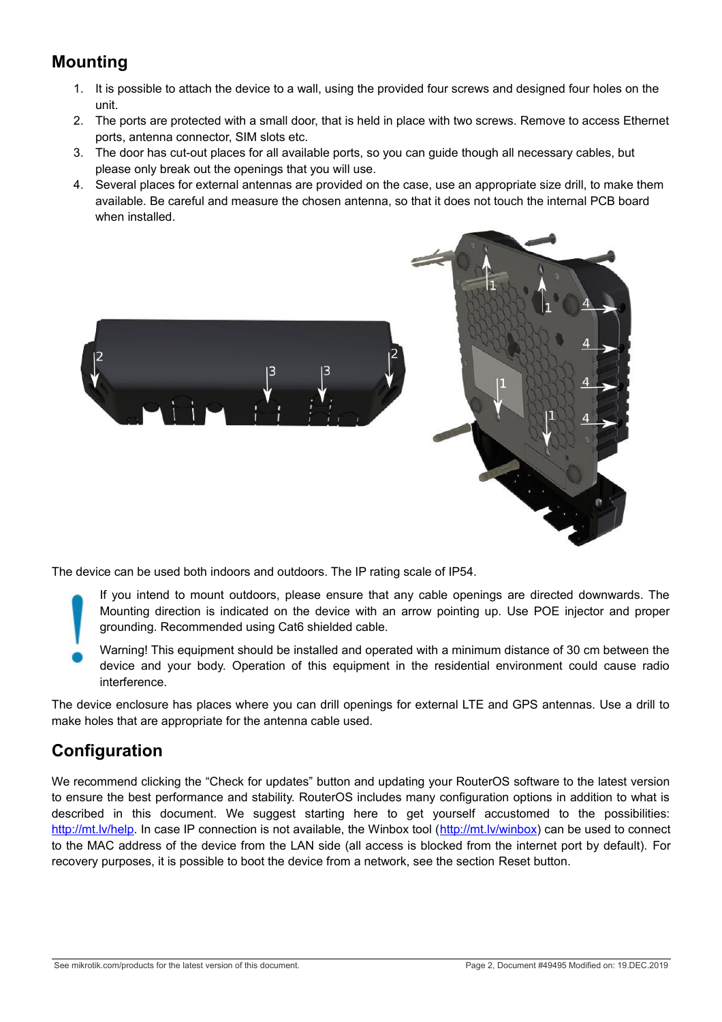# <span id="page-1-0"></span>**Mounting**

- 1. It is possible to attach the device to a wall, using the provided four screws and designed four holes on the unit.
- 2. The ports are protected with a small door, that is held in place with two screws. Remove to access Ethernet ports, antenna connector, SIM slots etc.
- 3. The door has cut-out places for all available ports, so you can guide though all necessary cables, but please only break out the openings that you will use.
- 4. Several places for external antennas are provided on the case, use an appropriate size drill, to make them available. Be careful and measure the chosen antenna, so that it does not touch the internal PCB board when installed.



The device can be used both indoors and outdoors. The IP rating scale of IP54.

- If you intend to mount outdoors, please ensure that any cable openings are directed downwards. The Mounting direction is indicated on the device with an arrow pointing up. Use POE injector and proper grounding. Recommended using Cat6 shielded cable.
- Warning! This equipment should be installed and operated with a minimum distance of 30 cm between the device and your body. Operation of this equipment in the residential environment could cause radio interference.

The device enclosure has places where you can drill openings for external LTE and GPS antennas. Use a drill to make holes that are appropriate for the antenna cable used.

## **Configuration**

We recommend clicking the "Check for updates" button and updating your RouterOS software to the latest version to ensure the best performance and stability. RouterOS includes many configuration options in addition to what is described in this document. We suggest starting here to get yourself accustomed to the possibilities: [http://mt.lv/help.](http://mt.lv/help) In case IP connection is not available, the Winbox tool [\(http://mt.lv/winbox\)](http://mt.lv/winbox) can be used to connect to the MAC address of the device from the LAN side (all access is blocked from the internet port by default). For recovery purposes, it is possible to boot the device from a network, see the section [Reset button.](#page-4-0)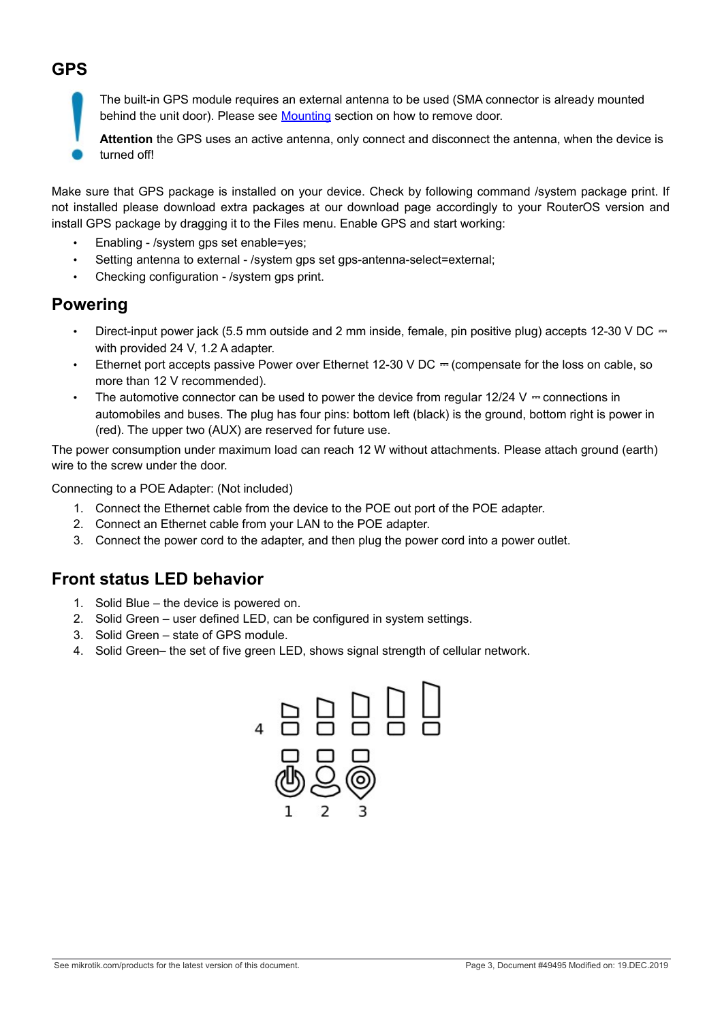# <span id="page-2-1"></span>**GPS**

The built-in GPS module requires an external antenna to be used (SMA connector is already mounted behind the unit door). Please see [Mounting](#page-1-0) section on how to remove door.

**Attention** the GPS uses an active antenna, only connect and disconnect the antenna, when the device is turned off!

Make sure that GPS package is installed on your device. Check by following command /system package print. If not installed please download extra packages at our download page accordingly to your RouterOS version and install GPS package by dragging it to the Files menu. Enable GPS and start working:

- Enabling /system gps set enable=yes;
- Setting antenna to external /system gps set gps-antenna-select=external;
- Checking configuration /system gps print.

#### <span id="page-2-0"></span>**Powering**

- Direct-input power jack (5.5 mm outside and 2 mm inside, female, pin positive plug) accepts 12-30 V DC  $\pm$ with provided 24 V, 1.2 A adapter.
- Ethernet port accepts passive Power over Ethernet 12-30 V DC  $=$  (compensate for the loss on cable, so more than 12 V recommended).
- The automotive connector can be used to power the device from regular  $12/24$  V = connections in automobiles and buses. The plug has four pins: bottom left (black) is the ground, bottom right is power in (red). The upper two (AUX) are reserved for future use.

The power consumption under maximum load can reach 12 W without attachments. Please attach ground (earth) wire to the screw under the door.

Connecting to a POE Adapter: (Not included)

- 1. Connect the Ethernet cable from the device to the POE out port of the POE adapter.
- 2. Connect an Ethernet cable from your LAN to the POE adapter.
- 3. Connect the power cord to the adapter, and then plug the power cord into a power outlet.

#### **Front status LED behavior**

- 1. Solid Blue the device is powered on.
- 2. Solid Green user defined LED, can be configured in system settings.
- 3. Solid Green state of GPS module.
- 4. Solid Green– the set of five green LED, shows signal strength of cellular network.

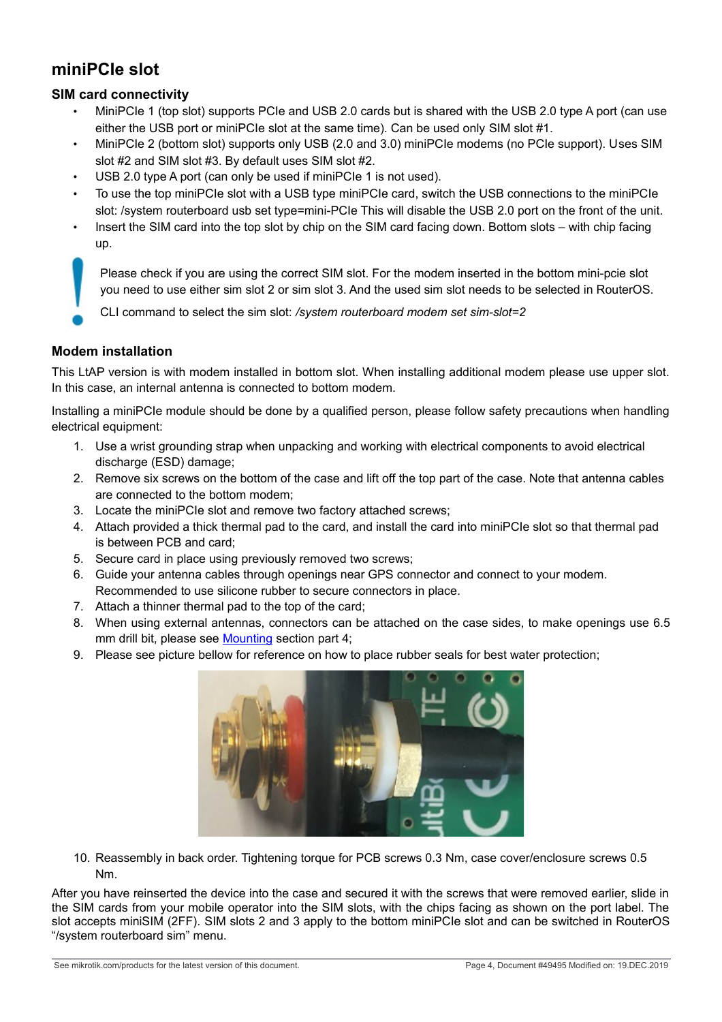## **miniPCIe slot**

#### **SIM card connectivity**

- MiniPCIe 1 (top slot) supports PCIe and USB 2.0 cards but is shared with the USB 2.0 type A port (can use either the USB port or miniPCIe slot at the same time). Can be used only SIM slot #1.
- MiniPCIe 2 (bottom slot) supports only USB (2.0 and 3.0) miniPCIe modems (no PCIe support). Uses SIM slot #2 and SIM slot #3. By default uses SIM slot #2.
- USB 2.0 type A port (can only be used if miniPCIe 1 is not used).
- To use the top miniPCIe slot with a USB type miniPCIe card, switch the USB connections to the miniPCIe slot: /system routerboard usb set type=mini-PCIe This will disable the USB 2.0 port on the front of the unit.
- Insert the SIM card into the top slot by chip on the SIM card facing down. Bottom slots with chip facing up.

Please check if you are using the correct SIM slot. For the modem inserted in the bottom mini-pcie slot you need to use either sim slot 2 or sim slot 3. And the used sim slot needs to be selected in RouterOS.

CLI command to select the sim slot: */system routerboard modem set sim-slot=2*

#### **Modem installation**

This LtAP version is with modem installed in bottom slot. When installing additional modem please use upper slot. In this case, an internal antenna is connected to bottom modem.

Installing a miniPCIe module should be done by a qualified person, please follow safety precautions when handling electrical equipment:

- 1. Use a wrist grounding strap when unpacking and working with electrical components to avoid electrical discharge (ESD) damage:
- 2. Remove six screws on the bottom of the case and lift off the top part of the case. Note that antenna cables are connected to the bottom modem;
- 3. Locate the miniPCIe slot and remove two factory attached screws;
- 4. Attach provided a thick thermal pad to the card, and install the card into miniPCIe slot so that thermal pad is between PCB and card;
- 5. Secure card in place using previously removed two screws;
- 6. Guide your antenna cables through openings near GPS connector and connect to your modem. Recommended to use silicone rubber to secure connectors in place.
- 7. Attach a thinner thermal pad to the top of the card;
- 8. When using external antennas, connectors can be attached on the case sides, to make openings use 6.5 mm drill bit, please see [Mounting](#page-1-0) section part 4;
- 9. Please see picture bellow for reference on how to place rubber seals for best water protection;



10. Reassembly in back order. Tightening torque for PCB screws 0.3 Nm, case cover/enclosure screws 0.5 Nm.

After you have reinserted the device into the case and secured it with the screws that were removed earlier, slide in the SIM cards from your mobile operator into the SIM slots, with the chips facing as shown on the port label. The slot accepts miniSIM (2FF). SIM slots 2 and 3 apply to the bottom miniPCIe slot and can be switched in RouterOS "/system routerboard sim" menu.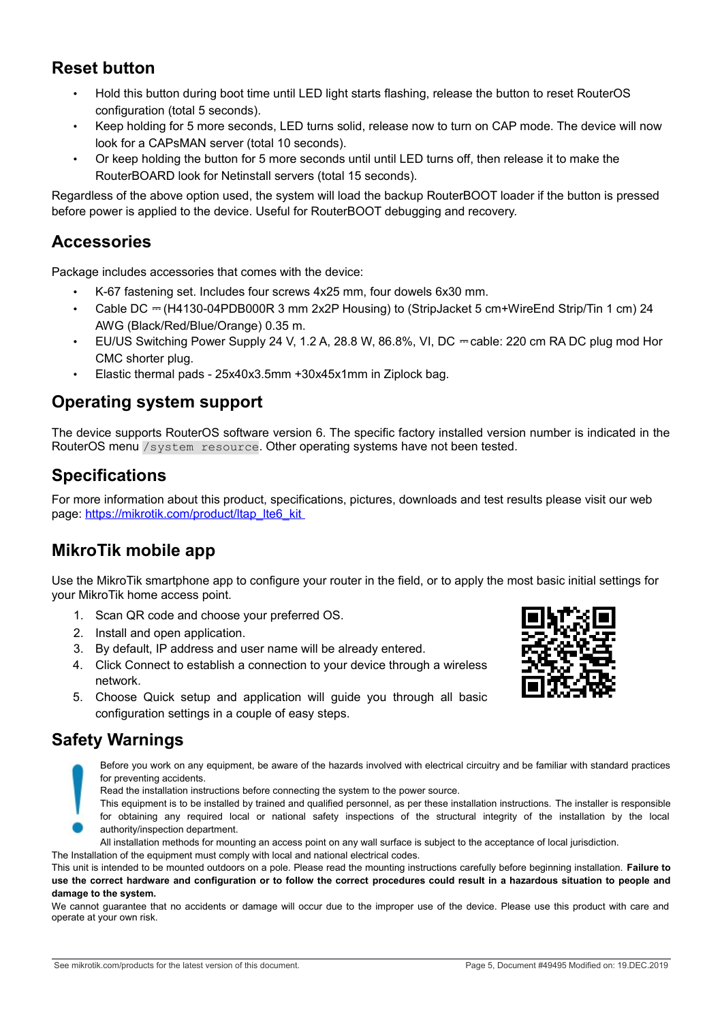### <span id="page-4-0"></span>**Reset button**

- Hold this button during boot time until LED light starts flashing, release the button to reset RouterOS configuration (total 5 seconds).
- Keep holding for 5 more seconds, LED turns solid, release now to turn on CAP mode. The device will now look for a CAPsMAN server (total 10 seconds).
- Or keep holding the button for 5 more seconds until until LED turns off, then release it to make the RouterBOARD look for Netinstall servers (total 15 seconds).

Regardless of the above option used, the system will load the backup RouterBOOT loader if the button is pressed before power is applied to the device. Useful for RouterBOOT debugging and recovery.

#### **Accessories**

Package includes accessories that comes with the device:

- K-67 fastening set. Includes four screws 4x25 mm, four dowels 6x30 mm.
- Cable DC ⎓ (H4130-04PDB000R 3 mm 2x2P Housing) to (StripJacket 5 cm+WireEnd Strip/Tin 1 cm) 24 AWG (Black/Red/Blue/Orange) 0.35 m.
- EU/US Switching Power Supply 24 V, 1.2 A, 28.8 W, 86.8%, VI, DC  $=$  cable: 220 cm RA DC plug mod Hor CMC shorter plug.
- Elastic thermal pads 25x40x3.5mm +30x45x1mm in Ziplock bag.

#### **Operating system support**

The device supports RouterOS software version 6. The specific factory installed version number is indicated in the RouterOS menu /system resource. Other operating systems have not been tested.

## **Specifications**

For more information about this product, specifications, pictures, downloads and test results please visit our web page: https://mikrotik.com/product/ltap\_lte6\_kit

#### **MikroTik mobile app**

Use the MikroTik smartphone app to configure your router in the field, or to apply the most basic initial settings for your MikroTik home access point.

- 1. Scan QR code and choose your preferred OS.
- 2. Install and open application.
- 3. By default, IP address and user name will be already entered.
- 4. Click Connect to establish a connection to your device through a wireless network.
- 5. Choose Quick setup and application will guide you through all basic configuration settings in a couple of easy steps.

#### **Safety Warnings**

Before you work on any equipment, be aware of the hazards involved with electrical circuitry and be familiar with standard practices for preventing accidents.

Read the installation instructions before connecting the system to the power source.

This equipment is to be installed by trained and qualified personnel, as per these installation instructions. The installer is responsible for obtaining any required local or national safety inspections of the structural integrity of the installation by the local authority/inspection department.

All installation methods for mounting an access point on any wall surface is subject to the acceptance of local jurisdiction.

The Installation of the equipment must comply with local and national electrical codes.

This unit is intended to be mounted outdoors on a pole. Please read the mounting instructions carefully before beginning installation. **Failure to use the correct hardware and configuration or to follow the correct procedures could result in a hazardous situation to people and damage to the system.**

We cannot guarantee that no accidents or damage will occur due to the improper use of the device. Please use this product with care and operate at your own risk.

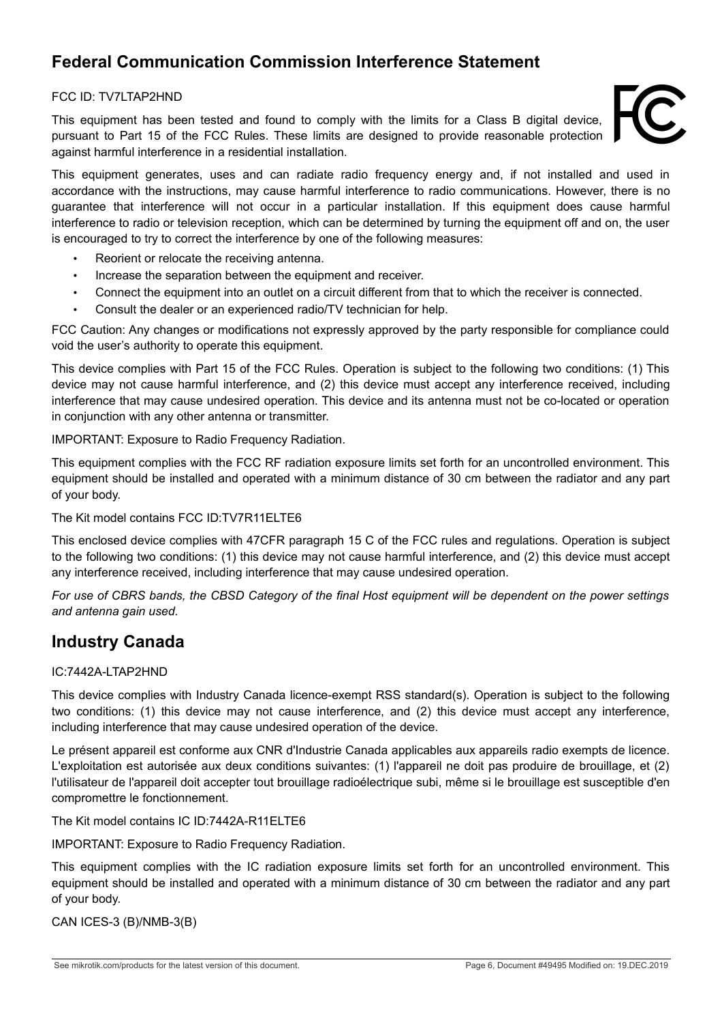# **Federal Communication Commission Interference Statement**

#### FCC ID: TV7LTAP2HND

This equipment has been tested and found to comply with the limits for a Class B digital device, pursuant to Part 15 of the FCC Rules. These limits are designed to provide reasonable protection against harmful interference in a residential installation.



This equipment generates, uses and can radiate radio frequency energy and, if not installed and used in accordance with the instructions, may cause harmful interference to radio communications. However, there is no guarantee that interference will not occur in a particular installation. If this equipment does cause harmful interference to radio or television reception, which can be determined by turning the equipment off and on, the user is encouraged to try to correct the interference by one of the following measures:

- Reorient or relocate the receiving antenna.
- Increase the separation between the equipment and receiver.
- Connect the equipment into an outlet on a circuit different from that to which the receiver is connected.
- Consult the dealer or an experienced radio/TV technician for help.

FCC Caution: Any changes or modifications not expressly approved by the party responsible for compliance could void the user's authority to operate this equipment.

This device complies with Part 15 of the FCC Rules. Operation is subject to the following two conditions: (1) This device may not cause harmful interference, and (2) this device must accept any interference received, including interference that may cause undesired operation. This device and its antenna must not be co-located or operation in conjunction with any other antenna or transmitter.

IMPORTANT: Exposure to Radio Frequency Radiation.

This equipment complies with the FCC RF radiation exposure limits set forth for an uncontrolled environment. This equipment should be installed and operated with a minimum distance of 30 cm between the radiator and any part of your body.

The Kit model contains FCC ID:TV7R11ELTE6

This enclosed device complies with 47CFR paragraph 15 C of the FCC rules and regulations. Operation is subject to the following two conditions: (1) this device may not cause harmful interference, and (2) this device must accept any interference received, including interference that may cause undesired operation.

*For use of CBRS bands, the CBSD Category of the final Host equipment will be dependent on the power settings and antenna gain used.*

#### **Industry Canada**

#### IC:7442A-LTAP2HND

This device complies with Industry Canada licence-exempt RSS standard(s). Operation is subject to the following two conditions: (1) this device may not cause interference, and (2) this device must accept any interference, including interference that may cause undesired operation of the device.

Le présent appareil est conforme aux CNR d'Industrie Canada applicables aux appareils radio exempts de licence. L'exploitation est autorisée aux deux conditions suivantes: (1) l'appareil ne doit pas produire de brouillage, et (2) l'utilisateur de l'appareil doit accepter tout brouillage radioélectrique subi, même si le brouillage est susceptible d'en compromettre le fonctionnement.

The Kit model contains IC ID:7442A-R11ELTE6

IMPORTANT: Exposure to Radio Frequency Radiation.

This equipment complies with the IC radiation exposure limits set forth for an uncontrolled environment. This equipment should be installed and operated with a minimum distance of 30 cm between the radiator and any part of your body.

CAN ICES-3 (B)/NMB-3(B)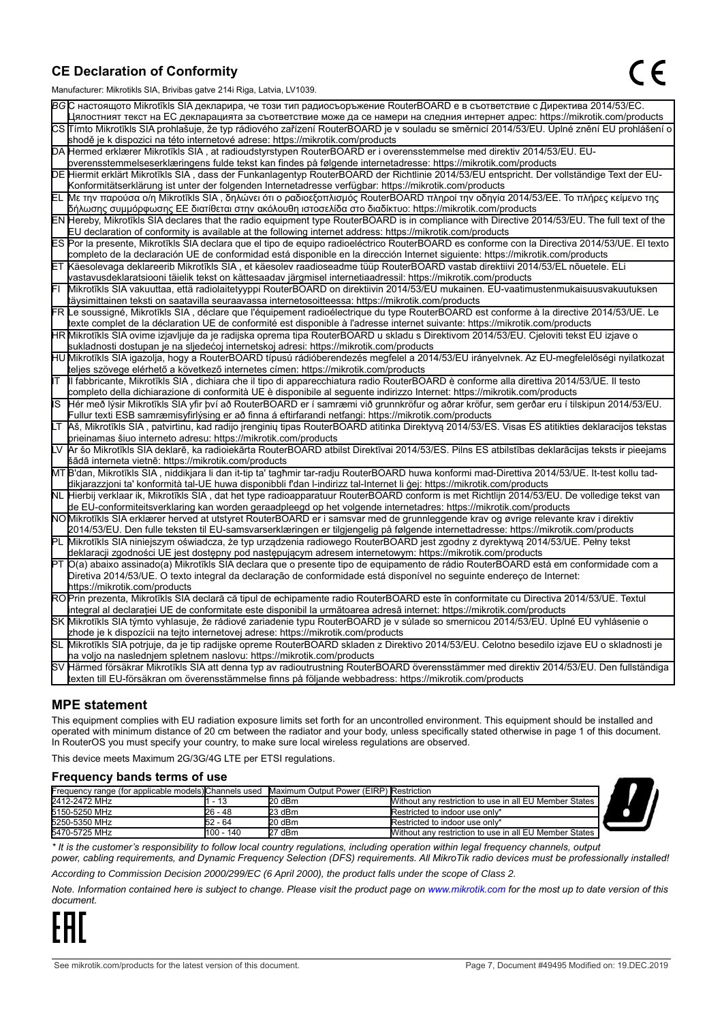#### **CE Declaration of Conformity**

Manufacturer: Mikrotikls SIA, Brivibas gatve 214i Riga, Latvia, LV1039.

|    | ividi iulaciui ci . Iviiri olinis OIA, Diivibas yatvo Z III inga, Latvia, Lv 1009                                                                                                                                                                         |
|----|-----------------------------------------------------------------------------------------------------------------------------------------------------------------------------------------------------------------------------------------------------------|
|    | ВСС настоящото Mikrotīkls SIA декларира, че този тип радиосъоръжение RouterBOARD е в съответствие с Директива 2014/53/EC.                                                                                                                                 |
|    | Цялостният текст на ЕС декларацията за съответствие може да се намери на следния интернет адрес: https://mikrotik.com/products                                                                                                                            |
|    | CS Tímto Mikrotīkls SIA prohlašuje, že typ rádiového zařízení RouterBOARD je v souladu se směrnicí 2014/53/EU. Úplné znění EU prohlášení o                                                                                                                |
|    | shodě je k dispozici na této internetové adrese: https://mikrotik.com/products                                                                                                                                                                            |
|    | DA Hermed erklærer Mikrotīkls SIA, at radioudstyrstypen RouterBOARD er i overensstemmelse med direktiv 2014/53/EU. EU-                                                                                                                                    |
|    | overensstemmelseserklæringens fulde tekst kan findes på følgende internetadresse: https://mikrotik.com/products                                                                                                                                           |
|    | DE Hiermit erklärt Mikrotīkls SIA, dass der Funkanlagentyp RouterBOARD der Richtlinie 2014/53/EU entspricht. Der vollständige Text der EU-                                                                                                                |
|    | Konformitätserklärung ist unter der folgenden Internetadresse verfügbar: https://mikrotik.com/products                                                                                                                                                    |
| ΕL | Με την παρούσα ο/η Mikrotīkls SIA, δηλώνει ότι ο ραδιοεξοπλισμός RouterBOARD πληροί την οδηγία 2014/53/ΕΕ. Το πλήρες κείμενο της<br>δήλωσης συμμόρφωσης ΕΕ διατίθεται στην ακόλουθη ιστοσελίδα στο διαδίκτυο: https://mikrotik.com/products               |
|    | EN Hereby, Mikrotīkls SIA declares that the radio equipment type RouterBOARD is in compliance with Directive 2014/53/EU. The full text of the                                                                                                             |
|    | EU declaration of conformity is available at the following internet address: https://mikrotik.com/products                                                                                                                                                |
|    | ES Por la presente, Mikrotīkls SIA declara que el tipo de equipo radioeléctrico RouterBOARD es conforme con la Directiva 2014/53/UE. El texto                                                                                                             |
|    | completo de la declaración UE de conformidad está disponible en la dirección Internet siguiente: https://mikrotik.com/products                                                                                                                            |
|    | ET Käesolevaga deklareerib Mikrotīkls SIA, et käesolev raadioseadme tüüp RouterBOARD vastab direktiivi 2014/53/EL nõuetele. ELi                                                                                                                           |
|    | vastavusdeklaratsiooni täielik tekst on kättesaadav järgmisel internetiaadressil: https://mikrotik.com/products                                                                                                                                           |
|    | Mikrotīkls SIA vakuuttaa, että radiolaitetyyppi RouterBOARD on direktiivin 2014/53/EU mukainen. EU-vaatimustenmukaisuusvakuutuksen                                                                                                                        |
|    | täysimittainen teksti on saatavilla seuraavassa internetosoitteessa: https://mikrotik.com/products                                                                                                                                                        |
|    | FR Le soussigné, Mikrotīkls SIA , déclare que l'équipement radioélectrique du type RouterBOARD est conforme à la directive 2014/53/UE. Le                                                                                                                 |
|    | texte complet de la déclaration UE de conformité est disponible à l'adresse internet suivante: https://mikrotik.com/products                                                                                                                              |
|    | HR Mikrotīkls SIA ovime izjavljuje da je radijska oprema tipa RouterBOARD u skladu s Direktivom 2014/53/EU. Cjeloviti tekst EU izjave o                                                                                                                   |
|    | sukladnosti dostupan je na sljedećoj internetskoj adresi: https://mikrotik.com/products                                                                                                                                                                   |
|    | HU Mikrotīkls SIA igazolja, hogy a RouterBOARD típusú rádióberendezés megfelel a 2014/53/EU irányelvnek. Az EU-megfelelőségi nyilatkozat                                                                                                                  |
|    | teljes szövege elérhető a következő internetes címen: https://mikrotik.com/products                                                                                                                                                                       |
| lΤ | Il fabbricante, Mikrotīkls SIA, dichiara che il tipo di apparecchiatura radio RouterBOARD è conforme alla direttiva 2014/53/UE. Il testo                                                                                                                  |
|    | completo della dichiarazione di conformità UE è disponibile al seguente indirizzo Internet: https://mikrotik.com/products                                                                                                                                 |
| IS | Hér með lýsir Mikrotīkls SIA yfir því að RouterBOARD er í samræmi við grunnkröfur og aðrar kröfur, sem gerðar eru í tilskipun 2014/53/EU.                                                                                                                 |
|    | Fullur texti ESB samræmisyfirlýsing er að finna á eftirfarandi netfangi: https://mikrotik.com/products                                                                                                                                                    |
| LТ | Aš, Mikrotīkls SIA, patvirtinu, kad radijo įrenginių tipas RouterBOARD atitinka Direktyvą 2014/53/ES. Visas ES atitikties deklaracijos tekstas                                                                                                            |
|    | prieinamas šiuo interneto adresu: https://mikrotik.com/products                                                                                                                                                                                           |
|    | Ar šo Mikrotīkls SIA deklarē, ka radioiekārta RouterBOARD atbilst Direktīvai 2014/53/ES. Pilns ES atbilstības deklarācijas teksts ir pieejams                                                                                                             |
|    | šādā interneta vietnē: https://mikrotik.com/products                                                                                                                                                                                                      |
|    | MT B'dan, Mikrotīkls SIA , niddikjara li dan it-tip ta' tagħmir tar-radju RouterBOARD huwa konformi mad-Direttiva 2014/53/UE. It-test kollu tad-                                                                                                          |
|    | dikjarazzjoni ta' konformità tal-UE huwa disponibbli f'dan l-indirizz tal-Internet li ġej: https://mikrotik.com/products                                                                                                                                  |
|    | NL  Hierbij verklaar ik, Mikrotīkls SIA , dat het type radioapparatuur RouterBOARD conform is met Richtlijn 2014/53/EU. De volledige tekst van                                                                                                            |
|    | de EU-conformiteitsverklaring kan worden geraadpleegd op het volgende internetadres: https://mikrotik.com/products<br>NOMikrotīkls SIA erklærer herved at utstyret RouterBOARD er i samsvar med de grunnleggende krav og øvrige relevante krav i direktiv |
|    | 2014/53/EU. Den fulle teksten til EU-samsvarserklæringen er tilgjengelig på følgende internettadresse: https://mikrotik.com/products                                                                                                                      |
|    | Mikrotīkls SIA niniejszym oświadcza, że typ urządzenia radiowego RouterBOARD jest zgodny z dyrektywą 2014/53/UE. Pełny tekst                                                                                                                              |
|    | deklaracji zgodności UE jest dostępny pod następującym adresem internetowym: https://mikrotik.com/products                                                                                                                                                |
|    | PT O(a) abaixo assinado(a) Mikrotīkls SIA declara que o presente tipo de equipamento de rádio RouterBOARD está em conformidade com a                                                                                                                      |
|    | Diretiva 2014/53/UE. O texto integral da declaração de conformidade está disponível no seguinte endereço de Internet:                                                                                                                                     |
|    | https://mikrotik.com/products                                                                                                                                                                                                                             |
|    | ROPrin prezenta, Mikrotīkls SIA declară că tipul de echipamente radio RouterBOARD este în conformitate cu Directiva 2014/53/UE. Textul                                                                                                                    |
|    | integral al declaratiei UE de conformitate este disponibil la următoarea adresă internet: https://mikrotik.com/products                                                                                                                                   |
|    | SK Mikrotīkls SIA týmto vyhlasuje, že rádiové zariadenie typu RouterBOARD je v súlade so smernicou 2014/53/EÚ. Úplné EÚ vyhlásenie o                                                                                                                      |
|    | zhode je k dispozícii na tejto internetovej adrese: https://mikrotik.com/products                                                                                                                                                                         |
|    | SL Mikrotīkls SIA potrjuje, da je tip radijske opreme RouterBOARD skladen z Direktivo 2014/53/EU. Celotno besedilo izjave EU o skladnosti je                                                                                                              |
|    | na voljo na naslednjem spletnem naslovu: https://mikrotik.com/products                                                                                                                                                                                    |
|    | SV Härmed försäkrar Mikrotīkls SIA att denna typ av radioutrustning RouterBOARD överensstämmer med direktiv 2014/53/EU. Den fullständiga                                                                                                                  |
|    | texten till EU-försäkran om överensstämmelse finns på följande webbadress: https://mikrotik.com/products                                                                                                                                                  |

#### **MPE statement**

This equipment complies with EU radiation exposure limits set forth for an uncontrolled environment. This equipment should be installed and operated with minimum distance of 20 cm between the radiator and your body, unless specifically stated otherwise in page 1 of this document. In RouterOS you must specify your country, to make sure local wireless regulations are observed.

This device meets Maximum 2G/3G/4G LTE per ETSI regulations.

#### **Frequency bands terms of use**

| Frequency range (for applicable models) Channels used |            | Maximum Output Power (EIRP) Restriction |                                                          |  |  |
|-------------------------------------------------------|------------|-----------------------------------------|----------------------------------------------------------|--|--|
| 2412-2472 MHz                                         | - 13       | 20 dBm                                  | Without any restriction to use in all EU Member States I |  |  |
| 5150-5250 MHz                                         | 26 - 48    | 23 dBm                                  | Restricted to indoor use only*                           |  |  |
| 5250-5350 MHz                                         | 52 - 64    | 20 dBm                                  | Restricted to indoor use only*                           |  |  |
| 5470-5725 MHz                                         | 1100 - 140 | 27 dBm                                  | Without any restriction to use in all EU Member States I |  |  |

*\* It is the customer's responsibility to follow local country regulations, including operation within legal frequency channels, output power, cabling requirements, and Dynamic Frequency Selection (DFS) requirements. All MikroTik radio devices must be professionally installed!*

*According to Commission Decision 2000/299/EC (6 April 2000), the product falls under the scope of Class 2.*

*Note. Information contained here is subject to change. Please visit the product page on [www.mikrotik.com](http://www.mikrotik.com/) for the most up to date version of this document.*